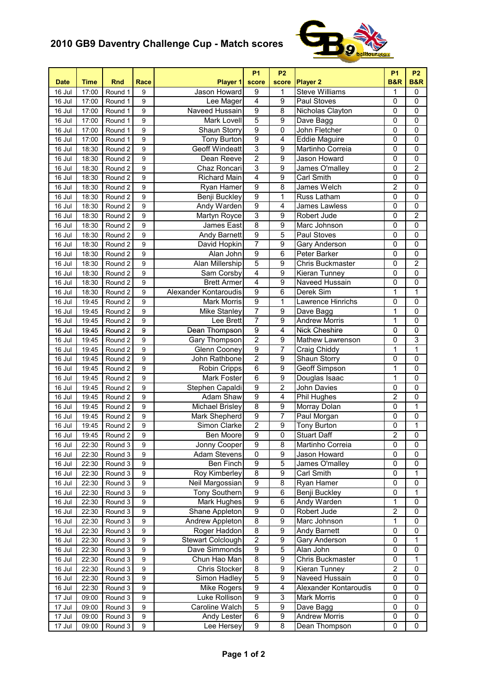## **2010 GB9 Daventry Challenge Cup - Match scores**



| <b>Date</b> | <b>Time</b> | <b>Rnd</b> | Race             | Player 1              | <b>P1</b><br>score | <b>P2</b><br>score      | <b>Player 2</b>         | <b>P1</b><br><b>B&amp;R</b> | <b>P2</b><br><b>B&amp;R</b> |
|-------------|-------------|------------|------------------|-----------------------|--------------------|-------------------------|-------------------------|-----------------------------|-----------------------------|
| 16 Jul      | 17:00       | Round 1    | 9                | Jason Howard          | 9                  | 1                       | <b>Steve Williams</b>   | 1                           | 0                           |
| 16 Jul      | 17:00       | Round 1    | 9                | Lee Mager             | $\overline{4}$     | $\overline{9}$          | Paul Stoves             | 0                           | 0                           |
| 16 Jul      | 17:00       | Round 1    | $\overline{9}$   | Naveed Hussain        | $\overline{9}$     | $\overline{8}$          | Nicholas Clayton        | 0                           | $\mathbf 0$                 |
| 16 Jul      | 17:00       | Round 1    | 9                | Mark Lovell           | $\overline{5}$     | $\overline{9}$          | Dave Bagg               | $\overline{0}$              | $\overline{0}$              |
| 16 Jul      | 17:00       | Round 1    | 9                | Shaun Storry          | $\overline{9}$     | $\pmb{0}$               | John Fletcher           | $\overline{0}$              | $\pmb{0}$                   |
| 16 Jul      | 17:00       | Round 1    | 9                | <b>Tony Burton</b>    | 9                  | $\overline{4}$          | <b>Eddie Maguire</b>    | 0                           | $\overline{0}$              |
| 16 Jul      | 18:30       | Round 2    | 9                | <b>Geoff Windeatt</b> | 3                  | $\overline{9}$          | Martinho Correia        | 0                           | 0                           |
| 16 Jul      | 18:30       | Round 2    | $\overline{9}$   | Dean Reeve            | $\overline{2}$     | $\overline{9}$          | Jason Howard            | 0                           | 0                           |
| 16 Jul      | 18:30       | Round 2    | 9                | Chaz Roncari          | $\overline{3}$     | 9                       | James O'malley          | 0                           | $\overline{2}$              |
| 16 Jul      | 18:30       | Round 2    | $\overline{9}$   | <b>Richard Main</b>   | $\overline{4}$     | 9                       | Carl Smith              | 0                           | 0                           |
| 16 Jul      | 18:30       | Round 2    | 9                | Ryan Hamer            | $\overline{9}$     | 8                       | James Welch             | $\overline{2}$              | 0                           |
| 16 Jul      | 18:30       | Round 2    | $\overline{9}$   | Benji Buckley         | $\overline{9}$     | 1                       | Russ Latham             | 0                           | $\overline{0}$              |
| 16 Jul      | 18:30       | Round 2    | $\overline{9}$   | Andy Warden           | $\overline{9}$     | 4                       | James Lawless           | $\overline{0}$              | $\overline{0}$              |
| 16 Jul      | 18:30       | Round 2    | $\overline{9}$   | Martyn Royce          | $\overline{3}$     | 9                       | Robert Jude             | $\overline{0}$              | $\overline{2}$              |
| 16 Jul      | 18:30       | Round 2    | 9                | James East            | $\overline{8}$     | 9                       | Marc Johnson            | 0                           | $\mathbf 0$                 |
| 16 Jul      | 18:30       | Round 2    | $\overline{9}$   | <b>Andy Barnett</b>   | 9                  | 5                       | Paul Stoves             | 0                           | 0                           |
| 16 Jul      | 18:30       | Round 2    | 9                | David Hopkin          | $\overline{7}$     | 9                       | Gary Anderson           | 0                           | 0                           |
| 16 Jul      | 18:30       | Round 2    | 9                | Alan John             | $\overline{9}$     | 6                       | Peter Barker            | 0                           | 0                           |
| 16 Jul      | 18:30       | Round 2    | 9                | Alan Millership       | $\overline{5}$     | $\overline{9}$          | <b>Chris Buckmaster</b> | 0                           | $\overline{2}$              |
| 16 Jul      | 18:30       | Round 2    | 9                | Sam Corsby            | $\overline{4}$     | $\overline{9}$          | Kieran Tunney           | 0                           | 0                           |
| 16 Jul      | 18:30       | Round 2    | 9                | <b>Brett Armer</b>    | $\overline{4}$     | $\overline{9}$          | Naveed Hussain          | $\overline{0}$              | $\overline{0}$              |
| 16 Jul      | 18:30       | Round 2    | 9                | Alexander Kontaroudis | $\overline{9}$     | 6                       | Derek Sim               | 1                           | 1                           |
| 16 Jul      | 19:45       | Round 2    | 9                | <b>Mark Morris</b>    | $\overline{9}$     | 1                       | Lawrence Hinrichs       | 0                           | 0                           |
| 16 Jul      | 19:45       | Round 2    | 9                | <b>Mike Stanley</b>   | 7                  | $\overline{9}$          | Dave Bagg               | 1                           | 0                           |
| 16 Jul      | 19:45       | Round 2    | 9                | Lee Brett             | $\overline{7}$     | $\overline{9}$          | <b>Andrew Morris</b>    | 1                           | 0                           |
| 16 Jul      | 19:45       | Round 2    | $\overline{9}$   | Dean Thompson         | $\overline{9}$     | 4                       | <b>Nick Cheshire</b>    | $\overline{0}$              | $\overline{0}$              |
| 16 Jul      | 19:45       | Round 2    | 9                | Gary Thompson         | $\overline{2}$     | 9                       | Mathew Lawrenson        | 0                           | 3                           |
| 16 Jul      | 19:45       | Round 2    | $\overline{9}$   | Glenn Cooney          | $\overline{9}$     | 7                       | Craig Chiddy            | 1                           | 1                           |
| 16 Jul      | 19:45       | Round 2    | 9                | John Rathbone         | $\overline{2}$     | $\overline{9}$          | Shaun Storry            | 0                           | 0                           |
| 16 Jul      | 19:45       | Round 2    | $\overline{9}$   | Robin Cripps          | $\overline{6}$     | 9                       | Geoff Simpson           | 1                           | $\overline{0}$              |
| 16 Jul      | 19:45       | Round 2    | 9                | Mark Foster           | 6                  | 9                       | Douglas Isaac           | 1                           | $\pmb{0}$                   |
| 16 Jul      | 19:45       | Round 2    | 9                | Stephen Capaldi       | $\overline{9}$     | $\overline{2}$          | John Davies             | 0                           | $\mathbf 0$                 |
| 16 Jul      | 19:45       | Round 2    | $\overline{9}$   | Adam Shaw             | $\overline{9}$     | $\overline{\mathbf{4}}$ | Phil Hughes             | $\overline{2}$              | 0                           |
| 16 Jul      | 19:45       | Round 2    | 9                | Michael Brisley       | $\overline{8}$     | 9                       | Morray Dolan            | 0                           | 1                           |
| 16 Jul      | 19:45       | Round 2    | 9                | Mark Shepherd         | $\overline{9}$     | 7                       | Paul Morgan             | 0                           | 0                           |
| 16 Jul      | 19:45       | Round 2    | $\overline{9}$   | Simon Clarke          | $\overline{2}$     | $\overline{9}$          | <b>Tony Burton</b>      | 0                           | 1                           |
| 16 Jul      | 19:45       | Round 2    | 9                | Ben Moore             | 9                  | O                       | Stuart Daff             | $\mathbf{z}$                | 0                           |
| 16 Jul      | 22:30       | Round 3    | 9                | Jonny Cooper          | $\boldsymbol{9}$   | 8                       | Martinho Correia        | 0                           | 0                           |
| 16 Jul      | 22:30       | Round 3    | 9                | Adam Stevens          | $\mathbf 0$        | 9                       | Jason Howard            | 0                           | 0                           |
| 16 Jul      | 22:30       | Round 3    | 9                | Ben Finch             | $\overline{9}$     | 5                       | James O'malley          | 0                           | 0                           |
| 16 Jul      | 22:30       | Round 3    | 9                | Roy Kimberley         | $\overline{8}$     | 9                       | Carl Smith              | 0                           | 1                           |
| 16 Jul      | 22:30       | Round 3    | 9                | Neil Margossian       | $\overline{9}$     | 8                       | Ryan Hamer              | 0                           | 0                           |
| 16 Jul      | 22:30       | Round 3    | 9                | <b>Tony Southern</b>  | $\overline{9}$     | 6                       | Benji Buckley           | 0                           | 1                           |
| 16 Jul      | 22:30       | Round 3    | 9                | Mark Hughes           | $\overline{9}$     | 6                       | Andy Warden             | 1                           | 0                           |
| 16 Jul      | 22:30       | Round 3    | 9                | Shane Appleton        | $\overline{9}$     | $\overline{0}$          | Robert Jude             | $\overline{2}$              | 0                           |
| 16 Jul      | 22:30       | Round 3    | 9                | Andrew Appleton       | $\overline{8}$     | $\boldsymbol{9}$        | Marc Johnson            | 1                           | $\mathbf 0$                 |
| 16 Jul      | 22:30       | Round 3    | 9                | Roger Haddon          | 8                  | $\boldsymbol{9}$        | Andy Barnett            | 0                           | 0                           |
| 16 Jul      | 22:30       | Round 3    | $\boldsymbol{9}$ | Stewart Colclough     | $\overline{2}$     | 9                       | Gary Anderson           | 0                           | 1                           |
| 16 Jul      | 22:30       | Round 3    | 9                | Dave Simmonds         | 9                  | 5                       | Alan John               | 0                           | 0                           |
| 16 Jul      | 22:30       | Round 3    | 9                | Chun Hao Man          | $\overline{8}$     | 9                       | Chris Buckmaster        | 0                           | 1                           |
| 16 Jul      | 22:30       | Round 3    | 9                | Chris Stocker         | 8                  | 9                       | Kieran Tunney           | $\overline{\mathbf{c}}$     | 0                           |
| 16 Jul      | 22:30       | Round 3    | 9                | Simon Hadley          | $\mathbf 5$        | 9                       | Naveed Hussain          | 0                           | 0                           |
| 16 Jul      | 22:30       | Round 3    | 9                | Mike Rogers           | $\boldsymbol{9}$   | $\overline{\mathbf{4}}$ | Alexander Kontaroudis   | 0                           | 0                           |
| 17 Jul      | 09:00       | Round 3    | 9                | Luke Rollison         | $\overline{9}$     | 3                       | Mark Morris             | 0                           | 0                           |
| 17 Jul      |             | Round 3    | 9                | Caroline Walch        | $\overline{5}$     | 9                       | Dave Bagg               | 0                           | 0                           |
| 17 Jul      | 09:00       | Round 3    | 9                | Andy Lester           | $\,6\,$            | $\boldsymbol{9}$        | <b>Andrew Morris</b>    | 0                           | 0                           |
|             | 09:00       |            |                  |                       | 9                  | 8                       | Dean Thompson           | 0                           | 0                           |
| 17 Jul      | 09:00       | Round 3    | 9                | Lee Hersey            |                    |                         |                         |                             |                             |